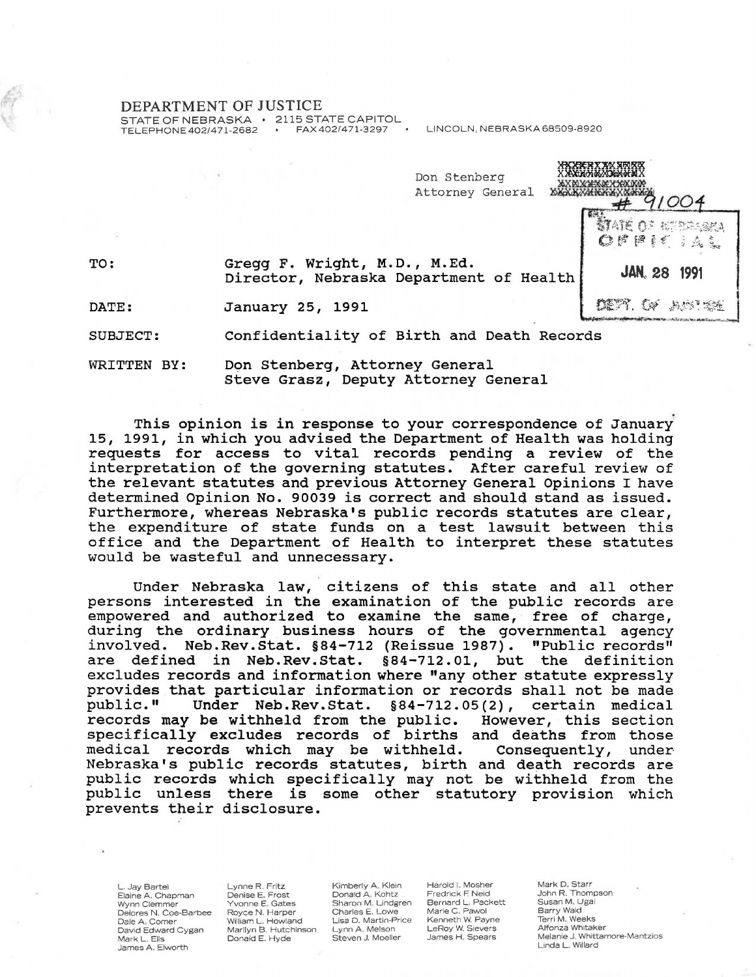## DEPARTMENT OF JUSTICE

STATE OF NEBRASKA 2115 STATE CAPITOL<br>TELEPHONE 402/471-2682 FAX 402/471-3297

LINCOLN, NEBRASKA 68509-8920

| Don Stenberg<br>Attorney General                                        | <b>XROBERY XIX SRIKE</b><br><b>XXXMMEXXXXXXXXXXXXXX</b> |  |
|-------------------------------------------------------------------------|---------------------------------------------------------|--|
|                                                                         | <b>MATE OF REPORTAL</b><br>COPPIE : A.L.                |  |
| Gregg F. Wright, M.D., M.Ed.<br>Director, Nebraska Department of Health | JAN. 28 1991                                            |  |
| January 25, 1991                                                        | 《 马蛙                                                    |  |
|                                                                         |                                                         |  |

DATE: Janua

TO:

SUBJECT: Confidentiality of Birth and Death Records

WRITTEN BY: Don Stenberg, Attorney General Steve Grasz, Deputy Attorney General

This opinion is in response to your correspondence of January 15, 1991, in which you advised the Department of Health was holding requests for access to vital records pending a review of the interpretation of the governing statutes. After careful review of the relevant statutes and previous Attorney General Opinions I have determined Opinion No. 90039 is correct and should stand as issued. Furthermore, whereas Nebraska's public records statutes are clear, the expenditure of state funds on a test lawsuit between this office and the Department of Health to interpret these statutes would be wasteful and unnecessary.

Under Nebraska law, citizens of this state and all other persons interested in the examination of the public records are empowered and authorized to examine the same, free of charge, during the ordinary business hours of the governmental agency involved. Neb.Rev.stat. §84-712 (Reissue 1987). "Public records" are defined in Neb.Rev.Stat. §84-712.01, but the definition excludes records and information where "any other statute expressly provides that particular information or records shall not be made<br>public." Under Neb.Rev.Stat. §84-712.05(2), certain medical Under Neb.Rev.Stat.  $§84-712.05(2)$ , records may be withheld from the public. However, this section specifically excludes records of births and deaths from those<br>medical records which may be withheld. Consequently, under medical records which may be withheld. Consequently, under Nebraska's public records statutes, birth and death records are public records which specifically may not be withheld from the public unless there is some other statutory provision which prevents their disclosure.

L. Jay Bartel Elaine A, Chapman<br>Wynn Clemmer Delores N. Coe-Barbee Dale A. Comer David Edward Cygan Mark L. Ells James A. Elworth

Lynne R. Fritz Denise E. Frost Yvonne E. Gates Royce N. Harper William L. Howland<br>Marilyn B. Hutchinson Donald E. Hyde

Kimberly A. Klein Donald A. Kohtz<br>Sharon M. Lindgren Charles E. Lowe Lisa D. Martin-Price Lynn A. Melson Steven J. Moeller

Harold I. Mosher Fredrick F. Neid Bernard L . Packett Marie C . Pawol Kenneth W. Payne LeRoy W. Sievers James H. Spears

Mark D. Starr John R. Thompson Susan M, Ugai<br>Barry Waid Terri M. Weeks Alfonza Whitaker Melanie J. Whittamore-Mantzios Linda L. Willard